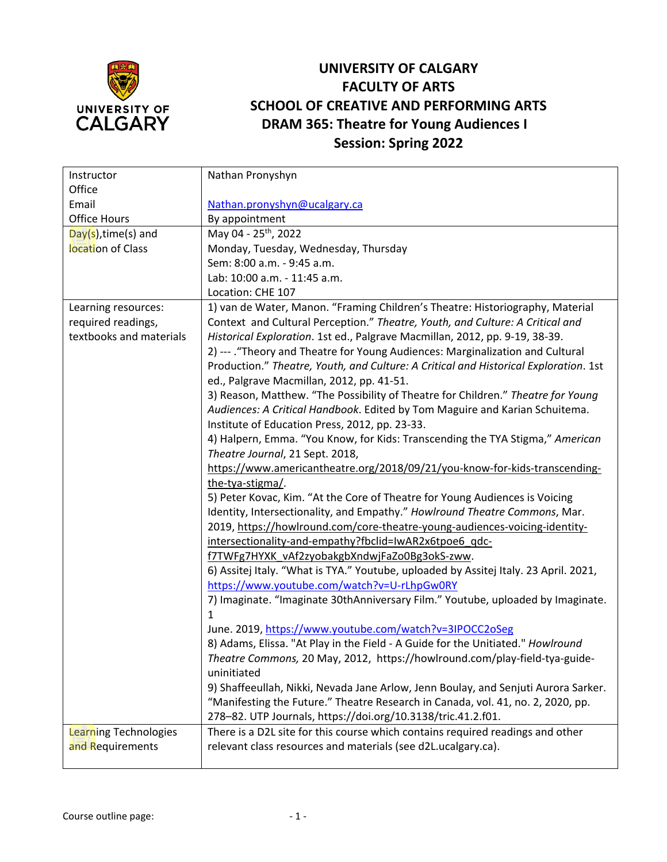

## **UNIVERSITY OF CALGARY FACULTY OF ARTS SCHOOL OF CREATIVE AND PERFORMING ARTS DRAM 365: Theatre for Young Audiences I Session: Spring 2022**

| Instructor              | Nathan Pronyshyn                                                                     |
|-------------------------|--------------------------------------------------------------------------------------|
| Office                  |                                                                                      |
| Email                   | Nathan.pronyshyn@ucalgary.ca                                                         |
| <b>Office Hours</b>     | By appointment                                                                       |
| Day(s), time(s) and     | May 04 - 25 <sup>th</sup> , 2022                                                     |
| location of Class       | Monday, Tuesday, Wednesday, Thursday                                                 |
|                         | Sem: 8:00 a.m. - 9:45 a.m.                                                           |
|                         | Lab: 10:00 a.m. - 11:45 a.m.                                                         |
|                         | Location: CHE 107                                                                    |
| Learning resources:     | 1) van de Water, Manon. "Framing Children's Theatre: Historiography, Material        |
| required readings,      | Context and Cultural Perception." Theatre, Youth, and Culture: A Critical and        |
| textbooks and materials | Historical Exploration. 1st ed., Palgrave Macmillan, 2012, pp. 9-19, 38-39.          |
|                         | 2) --- . "Theory and Theatre for Young Audiences: Marginalization and Cultural       |
|                         | Production." Theatre, Youth, and Culture: A Critical and Historical Exploration. 1st |
|                         | ed., Palgrave Macmillan, 2012, pp. 41-51.                                            |
|                         | 3) Reason, Matthew. "The Possibility of Theatre for Children." Theatre for Young     |
|                         | Audiences: A Critical Handbook. Edited by Tom Maguire and Karian Schuitema.          |
|                         | Institute of Education Press, 2012, pp. 23-33.                                       |
|                         | 4) Halpern, Emma. "You Know, for Kids: Transcending the TYA Stigma," American        |
|                         | Theatre Journal, 21 Sept. 2018,                                                      |
|                         | https://www.americantheatre.org/2018/09/21/you-know-for-kids-transcending-           |
|                         | the-tya-stigma/.                                                                     |
|                         | 5) Peter Kovac, Kim. "At the Core of Theatre for Young Audiences is Voicing          |
|                         | Identity, Intersectionality, and Empathy." Howlround Theatre Commons, Mar.           |
|                         | 2019, https://howlround.com/core-theatre-young-audiences-voicing-identity-           |
|                         | intersectionality-and-empathy?fbclid=IwAR2x6tpoe6_qdc-                               |
|                         | f7TWFg7HYXK vAf2zyobakgbXndwjFaZo0Bg3okS-zww.                                        |
|                         | 6) Assitej Italy. "What is TYA." Youtube, uploaded by Assitej Italy. 23 April. 2021, |
|                         | https://www.youtube.com/watch?v=U-rLhpGw0RY                                          |
|                         | 7) Imaginate. "Imaginate 30thAnniversary Film." Youtube, uploaded by Imaginate.      |
|                         | 1                                                                                    |
|                         | June. 2019, https://www.youtube.com/watch?v=3IPOCC2oSeg                              |
|                         | 8) Adams, Elissa. "At Play in the Field - A Guide for the Unitiated." Howlround      |
|                         | Theatre Commons, 20 May, 2012, https://howlround.com/play-field-tya-guide-           |
|                         | uninitiated                                                                          |
|                         | 9) Shaffeeullah, Nikki, Nevada Jane Arlow, Jenn Boulay, and Senjuti Aurora Sarker.   |
|                         | "Manifesting the Future." Theatre Research in Canada, vol. 41, no. 2, 2020, pp.      |
|                         | 278-82. UTP Journals, https://doi.org/10.3138/tric.41.2.f01.                         |
| Learning Technologies   | There is a D2L site for this course which contains required readings and other       |
| and Requirements        | relevant class resources and materials (see d2L.ucalgary.ca).                        |
|                         |                                                                                      |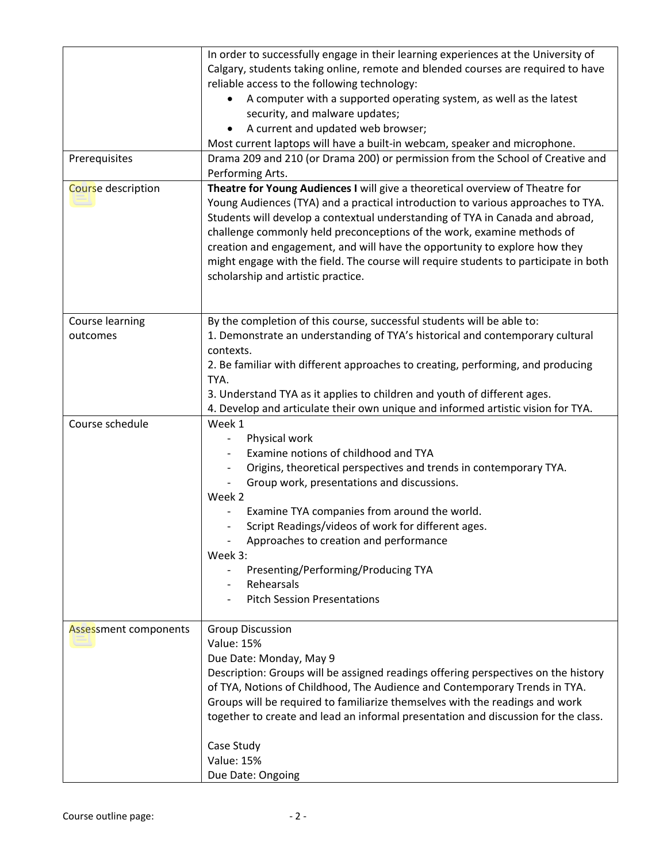| Prerequisites         | In order to successfully engage in their learning experiences at the University of<br>Calgary, students taking online, remote and blended courses are required to have<br>reliable access to the following technology:<br>A computer with a supported operating system, as well as the latest<br>security, and malware updates;<br>A current and updated web browser;<br>Most current laptops will have a built-in webcam, speaker and microphone.<br>Drama 209 and 210 (or Drama 200) or permission from the School of Creative and     |
|-----------------------|------------------------------------------------------------------------------------------------------------------------------------------------------------------------------------------------------------------------------------------------------------------------------------------------------------------------------------------------------------------------------------------------------------------------------------------------------------------------------------------------------------------------------------------|
|                       | Performing Arts.                                                                                                                                                                                                                                                                                                                                                                                                                                                                                                                         |
| Course description    | Theatre for Young Audiences I will give a theoretical overview of Theatre for<br>Young Audiences (TYA) and a practical introduction to various approaches to TYA.<br>Students will develop a contextual understanding of TYA in Canada and abroad,<br>challenge commonly held preconceptions of the work, examine methods of<br>creation and engagement, and will have the opportunity to explore how they<br>might engage with the field. The course will require students to participate in both<br>scholarship and artistic practice. |
| Course learning       | By the completion of this course, successful students will be able to:                                                                                                                                                                                                                                                                                                                                                                                                                                                                   |
| outcomes              | 1. Demonstrate an understanding of TYA's historical and contemporary cultural<br>contexts.<br>2. Be familiar with different approaches to creating, performing, and producing<br>TYA.<br>3. Understand TYA as it applies to children and youth of different ages.<br>4. Develop and articulate their own unique and informed artistic vision for TYA.                                                                                                                                                                                    |
| Course schedule       | Week 1                                                                                                                                                                                                                                                                                                                                                                                                                                                                                                                                   |
| Assessment components | Physical work<br>Examine notions of childhood and TYA<br>Origins, theoretical perspectives and trends in contemporary TYA.<br>Group work, presentations and discussions.<br>Week 2<br>Examine TYA companies from around the world.<br>Script Readings/videos of work for different ages.<br>Approaches to creation and performance<br>Week 3:<br>Presenting/Performing/Producing TYA<br>$\overline{\phantom{a}}$<br>Rehearsals<br><b>Pitch Session Presentations</b><br><b>Group Discussion</b>                                          |
|                       | <b>Value: 15%</b><br>Due Date: Monday, May 9<br>Description: Groups will be assigned readings offering perspectives on the history<br>of TYA, Notions of Childhood, The Audience and Contemporary Trends in TYA.<br>Groups will be required to familiarize themselves with the readings and work<br>together to create and lead an informal presentation and discussion for the class.<br>Case Study<br><b>Value: 15%</b>                                                                                                                |
|                       | Due Date: Ongoing                                                                                                                                                                                                                                                                                                                                                                                                                                                                                                                        |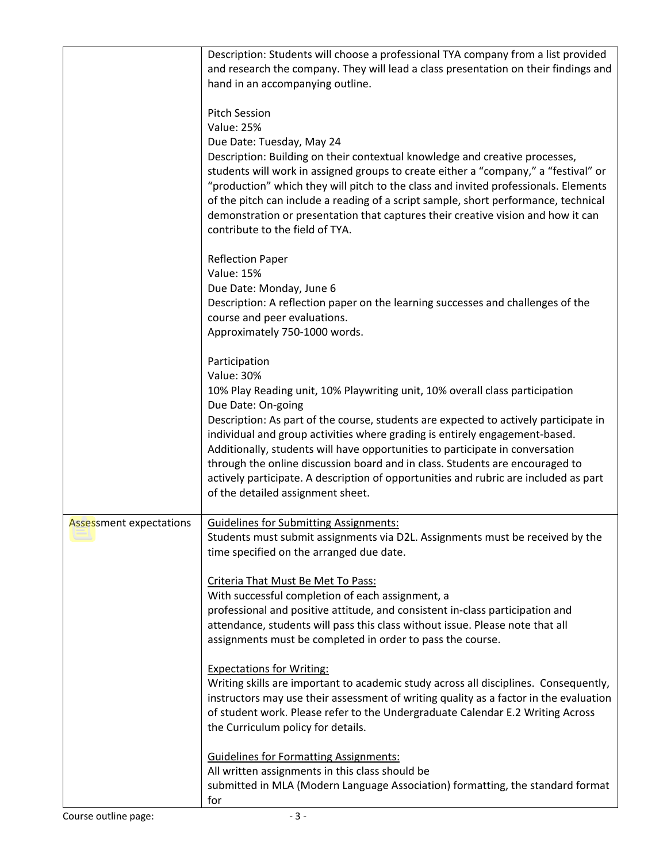|                         | Description: Students will choose a professional TYA company from a list provided<br>and research the company. They will lead a class presentation on their findings and<br>hand in an accompanying outline.                                                                                                                                                                                                                                                                                                                                                                                                  |
|-------------------------|---------------------------------------------------------------------------------------------------------------------------------------------------------------------------------------------------------------------------------------------------------------------------------------------------------------------------------------------------------------------------------------------------------------------------------------------------------------------------------------------------------------------------------------------------------------------------------------------------------------|
|                         | <b>Pitch Session</b><br><b>Value: 25%</b><br>Due Date: Tuesday, May 24<br>Description: Building on their contextual knowledge and creative processes,<br>students will work in assigned groups to create either a "company," a "festival" or<br>"production" which they will pitch to the class and invited professionals. Elements<br>of the pitch can include a reading of a script sample, short performance, technical<br>demonstration or presentation that captures their creative vision and how it can<br>contribute to the field of TYA.                                                             |
|                         | <b>Reflection Paper</b><br><b>Value: 15%</b><br>Due Date: Monday, June 6<br>Description: A reflection paper on the learning successes and challenges of the<br>course and peer evaluations.<br>Approximately 750-1000 words.                                                                                                                                                                                                                                                                                                                                                                                  |
|                         | Participation<br><b>Value: 30%</b><br>10% Play Reading unit, 10% Playwriting unit, 10% overall class participation<br>Due Date: On-going<br>Description: As part of the course, students are expected to actively participate in<br>individual and group activities where grading is entirely engagement-based.<br>Additionally, students will have opportunities to participate in conversation<br>through the online discussion board and in class. Students are encouraged to<br>actively participate. A description of opportunities and rubric are included as part<br>of the detailed assignment sheet. |
| Assessment expectations | <b>Guidelines for Submitting Assignments:</b><br>Students must submit assignments via D2L. Assignments must be received by the<br>time specified on the arranged due date.                                                                                                                                                                                                                                                                                                                                                                                                                                    |
|                         | Criteria That Must Be Met To Pass:<br>With successful completion of each assignment, a<br>professional and positive attitude, and consistent in-class participation and<br>attendance, students will pass this class without issue. Please note that all<br>assignments must be completed in order to pass the course.                                                                                                                                                                                                                                                                                        |
|                         | <b>Expectations for Writing:</b><br>Writing skills are important to academic study across all disciplines. Consequently,<br>instructors may use their assessment of writing quality as a factor in the evaluation<br>of student work. Please refer to the Undergraduate Calendar E.2 Writing Across<br>the Curriculum policy for details.                                                                                                                                                                                                                                                                     |
|                         | <b>Guidelines for Formatting Assignments:</b><br>All written assignments in this class should be<br>submitted in MLA (Modern Language Association) formatting, the standard format<br>for                                                                                                                                                                                                                                                                                                                                                                                                                     |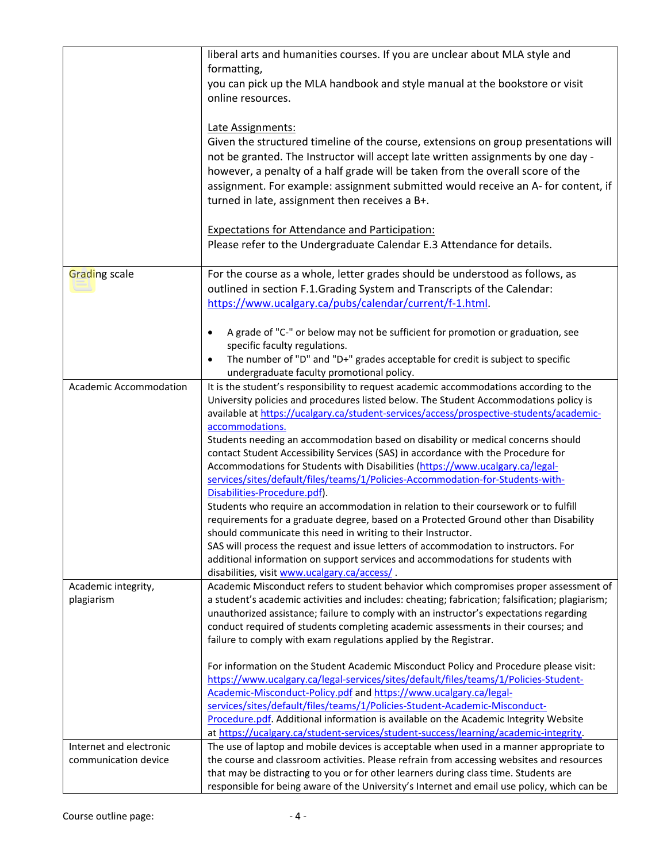|                               | liberal arts and humanities courses. If you are unclear about MLA style and                                                                               |
|-------------------------------|-----------------------------------------------------------------------------------------------------------------------------------------------------------|
|                               | formatting,                                                                                                                                               |
|                               | you can pick up the MLA handbook and style manual at the bookstore or visit                                                                               |
|                               | online resources.                                                                                                                                         |
|                               |                                                                                                                                                           |
|                               | Late Assignments:                                                                                                                                         |
|                               | Given the structured timeline of the course, extensions on group presentations will                                                                       |
|                               | not be granted. The Instructor will accept late written assignments by one day -                                                                          |
|                               | however, a penalty of a half grade will be taken from the overall score of the                                                                            |
|                               | assignment. For example: assignment submitted would receive an A- for content, if                                                                         |
|                               | turned in late, assignment then receives a B+.                                                                                                            |
|                               |                                                                                                                                                           |
|                               | <b>Expectations for Attendance and Participation:</b>                                                                                                     |
|                               | Please refer to the Undergraduate Calendar E.3 Attendance for details.                                                                                    |
|                               |                                                                                                                                                           |
| Grading scale                 | For the course as a whole, letter grades should be understood as follows, as                                                                              |
|                               | outlined in section F.1.Grading System and Transcripts of the Calendar:                                                                                   |
|                               | https://www.ucalgary.ca/pubs/calendar/current/f-1.html.                                                                                                   |
|                               |                                                                                                                                                           |
|                               | A grade of "C-" or below may not be sufficient for promotion or graduation, see<br>$\bullet$                                                              |
|                               | specific faculty regulations.                                                                                                                             |
|                               | The number of "D" and "D+" grades acceptable for credit is subject to specific                                                                            |
|                               | undergraduate faculty promotional policy.                                                                                                                 |
| <b>Academic Accommodation</b> | It is the student's responsibility to request academic accommodations according to the                                                                    |
|                               | University policies and procedures listed below. The Student Accommodations policy is                                                                     |
|                               | available at https://ucalgary.ca/student-services/access/prospective-students/academic-                                                                   |
|                               | accommodations.                                                                                                                                           |
|                               | Students needing an accommodation based on disability or medical concerns should                                                                          |
|                               | contact Student Accessibility Services (SAS) in accordance with the Procedure for                                                                         |
|                               | Accommodations for Students with Disabilities (https://www.ucalgary.ca/legal-                                                                             |
|                               | services/sites/default/files/teams/1/Policies-Accommodation-for-Students-with-                                                                            |
|                               | Disabilities-Procedure.pdf).<br>Students who require an accommodation in relation to their coursework or to fulfill                                       |
|                               | requirements for a graduate degree, based on a Protected Ground other than Disability                                                                     |
|                               | should communicate this need in writing to their Instructor.                                                                                              |
|                               | SAS will process the request and issue letters of accommodation to instructors. For                                                                       |
|                               | additional information on support services and accommodations for students with                                                                           |
|                               | disabilities, visit www.ucalgary.ca/access/.                                                                                                              |
| Academic integrity,           | Academic Misconduct refers to student behavior which compromises proper assessment of                                                                     |
| plagiarism                    | a student's academic activities and includes: cheating; fabrication; falsification; plagiarism;                                                           |
|                               | unauthorized assistance; failure to comply with an instructor's expectations regarding                                                                    |
|                               | conduct required of students completing academic assessments in their courses; and                                                                        |
|                               | failure to comply with exam regulations applied by the Registrar.                                                                                         |
|                               |                                                                                                                                                           |
|                               | For information on the Student Academic Misconduct Policy and Procedure please visit:                                                                     |
|                               | https://www.ucalgary.ca/legal-services/sites/default/files/teams/1/Policies-Student-<br>Academic-Misconduct-Policy.pdf and https://www.ucalgary.ca/legal- |
|                               | services/sites/default/files/teams/1/Policies-Student-Academic-Misconduct-                                                                                |
|                               | Procedure.pdf. Additional information is available on the Academic Integrity Website                                                                      |
|                               | at https://ucalgary.ca/student-services/student-success/learning/academic-integrity.                                                                      |
| Internet and electronic       | The use of laptop and mobile devices is acceptable when used in a manner appropriate to                                                                   |
| communication device          | the course and classroom activities. Please refrain from accessing websites and resources                                                                 |
|                               | that may be distracting to you or for other learners during class time. Students are                                                                      |
|                               | responsible for being aware of the University's Internet and email use policy, which can be                                                               |